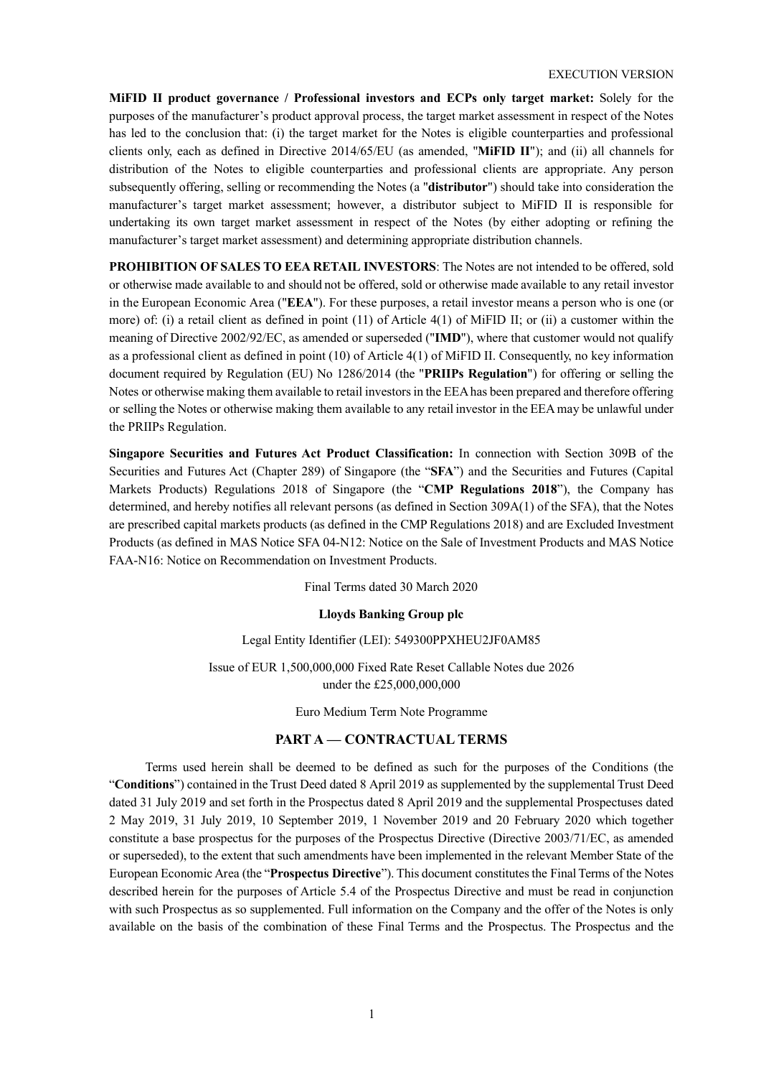**MiFID II product governance / Professional investors and ECPs only target market:** Solely for the purposes of the manufacturer's product approval process, the target market assessment in respect of the Notes has led to the conclusion that: (i) the target market for the Notes is eligible counterparties and professional clients only, each as defined in Directive 2014/65/EU (as amended, "**MiFID II**"); and (ii) all channels for distribution of the Notes to eligible counterparties and professional clients are appropriate. Any person subsequently offering, selling or recommending the Notes (a "**distributor**") should take into consideration the manufacturer's target market assessment; however, a distributor subject to MiFID II is responsible for undertaking its own target market assessment in respect of the Notes (by either adopting or refining the manufacturer's target market assessment) and determining appropriate distribution channels.

**PROHIBITION OF SALES TO EEA RETAIL INVESTORS**: The Notes are not intended to be offered, sold or otherwise made available to and should not be offered, sold or otherwise made available to any retail investor in the European Economic Area ("**EEA**"). For these purposes, a retail investor means a person who is one (or more) of: (i) a retail client as defined in point (11) of Article 4(1) of MiFID II; or (ii) a customer within the meaning of Directive 2002/92/EC, as amended or superseded ("**IMD**"), where that customer would not qualify as a professional client as defined in point (10) of Article 4(1) of MiFID II. Consequently, no key information document required by Regulation (EU) No 1286/2014 (the "**PRIIPs Regulation**") for offering or selling the Notes or otherwise making them available to retail investors in the EEA has been prepared and therefore offering or selling the Notes or otherwise making them available to any retail investor in the EEA may be unlawful under the PRIIPs Regulation.

**Singapore Securities and Futures Act Product Classification:** In connection with Section 309B of the Securities and Futures Act (Chapter 289) of Singapore (the "**SFA**") and the Securities and Futures (Capital Markets Products) Regulations 2018 of Singapore (the "**CMP Regulations 2018**"), the Company has determined, and hereby notifies all relevant persons (as defined in Section 309A(1) of the SFA), that the Notes are prescribed capital markets products (as defined in the CMP Regulations 2018) and are Excluded Investment Products (as defined in MAS Notice SFA 04-N12: Notice on the Sale of Investment Products and MAS Notice FAA-N16: Notice on Recommendation on Investment Products.

Final Terms dated 30 March 2020

## **Lloyds Banking Group plc**

#### Legal Entity Identifier (LEI): 549300PPXHEU2JF0AM85

Issue of EUR 1,500,000,000 Fixed Rate Reset Callable Notes due 2026 under the £25,000,000,000

Euro Medium Term Note Programme

## **PART A — CONTRACTUAL TERMS**

Terms used herein shall be deemed to be defined as such for the purposes of the Conditions (the "**Conditions**") contained in the Trust Deed dated 8 April 2019 as supplemented by the supplemental Trust Deed dated 31 July 2019 and set forth in the Prospectus dated 8 April 2019 and the supplemental Prospectuses dated 2 May 2019, 31 July 2019, 10 September 2019, 1 November 2019 and 20 February 2020 which together constitute a base prospectus for the purposes of the Prospectus Directive (Directive 2003/71/EC, as amended or superseded), to the extent that such amendments have been implemented in the relevant Member State of the European Economic Area (the "**Prospectus Directive**"). This document constitutes the Final Terms of the Notes described herein for the purposes of Article 5.4 of the Prospectus Directive and must be read in conjunction with such Prospectus as so supplemented. Full information on the Company and the offer of the Notes is only available on the basis of the combination of these Final Terms and the Prospectus. The Prospectus and the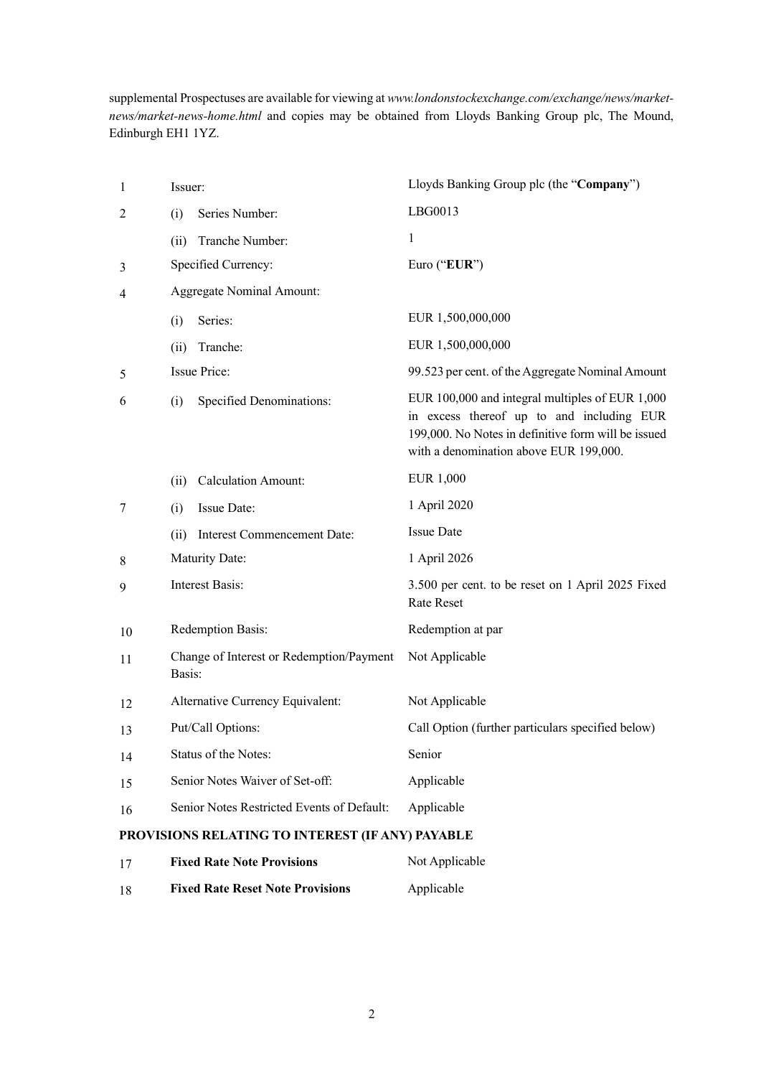supplemental Prospectuses are available for viewing at *www.londonstockexchange.com/exchange/news/marketnews/market-news-home.html* and copies may be obtained from Lloyds Banking Group plc, The Mound, Edinburgh EH1 1YZ.

| $\mathbf{1}$   | Issuer:                                            |                                            | Lloyds Banking Group plc (the "Company")                                                                                                                                                      |
|----------------|----------------------------------------------------|--------------------------------------------|-----------------------------------------------------------------------------------------------------------------------------------------------------------------------------------------------|
| 2              | (i)                                                | Series Number:                             | LBG0013                                                                                                                                                                                       |
|                | (ii)                                               | Tranche Number:                            | 1                                                                                                                                                                                             |
| 3              |                                                    | Specified Currency:                        | Euro ("EUR")                                                                                                                                                                                  |
| $\overline{4}$ | <b>Aggregate Nominal Amount:</b>                   |                                            |                                                                                                                                                                                               |
|                | (i)                                                | Series:                                    | EUR 1,500,000,000                                                                                                                                                                             |
|                | (ii)                                               | Tranche:                                   | EUR 1,500,000,000                                                                                                                                                                             |
| 5              |                                                    | <b>Issue Price:</b>                        | 99.523 per cent. of the Aggregate Nominal Amount                                                                                                                                              |
| 6              | (i)                                                | <b>Specified Denominations:</b>            | EUR 100,000 and integral multiples of EUR 1,000<br>in excess thereof up to and including EUR<br>199,000. No Notes in definitive form will be issued<br>with a denomination above EUR 199,000. |
|                | (i)                                                | Calculation Amount:                        | <b>EUR 1,000</b>                                                                                                                                                                              |
| $\tau$         | (i)                                                | Issue Date:                                | 1 April 2020                                                                                                                                                                                  |
|                | (ii)                                               | <b>Interest Commencement Date:</b>         | <b>Issue Date</b>                                                                                                                                                                             |
| 8              | Maturity Date:                                     |                                            | 1 April 2026                                                                                                                                                                                  |
| 9              | <b>Interest Basis:</b>                             |                                            | 3.500 per cent. to be reset on 1 April 2025 Fixed<br><b>Rate Reset</b>                                                                                                                        |
| 10             | Redemption Basis:                                  |                                            | Redemption at par                                                                                                                                                                             |
| 11             | Change of Interest or Redemption/Payment<br>Basis: |                                            | Not Applicable                                                                                                                                                                                |
| 12             | Alternative Currency Equivalent:                   |                                            | Not Applicable                                                                                                                                                                                |
| 13             | Put/Call Options:                                  |                                            | Call Option (further particulars specified below)                                                                                                                                             |
| 14             | Status of the Notes:                               |                                            | Senior                                                                                                                                                                                        |
| 15             | Senior Notes Waiver of Set-off:                    |                                            | Applicable                                                                                                                                                                                    |
| 16             |                                                    | Senior Notes Restricted Events of Default: | Applicable                                                                                                                                                                                    |
|                |                                                    |                                            |                                                                                                                                                                                               |

# **PROVISIONS RELATING TO INTEREST (IF ANY) PAYABLE**

| 17 | <b>Fixed Rate Note Provisions</b>       | Not Applicable |
|----|-----------------------------------------|----------------|
| 18 | <b>Fixed Rate Reset Note Provisions</b> | Applicable     |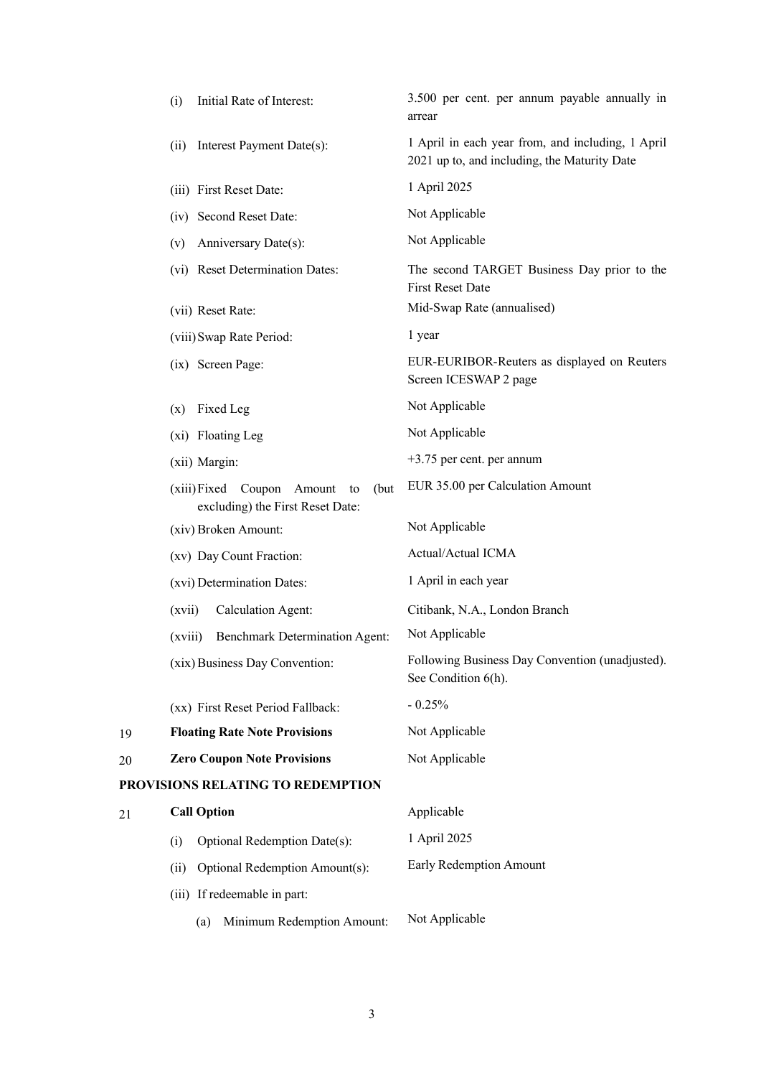|    | (i)    | Initial Rate of Interest:                                                     | 3.500 per cent. per annum payable annually in<br>arrear                                           |
|----|--------|-------------------------------------------------------------------------------|---------------------------------------------------------------------------------------------------|
|    | (ii)   | Interest Payment Date(s):                                                     | 1 April in each year from, and including, 1 April<br>2021 up to, and including, the Maturity Date |
|    |        | (iii) First Reset Date:                                                       | 1 April 2025                                                                                      |
|    |        | (iv) Second Reset Date:                                                       | Not Applicable                                                                                    |
|    | (v)    | Anniversary Date(s):                                                          | Not Applicable                                                                                    |
|    |        | (vi) Reset Determination Dates:                                               | The second TARGET Business Day prior to the<br><b>First Reset Date</b>                            |
|    |        | (vii) Reset Rate:                                                             | Mid-Swap Rate (annualised)                                                                        |
|    |        | (viii) Swap Rate Period:                                                      | 1 year                                                                                            |
|    |        | (ix) Screen Page:                                                             | EUR-EURIBOR-Reuters as displayed on Reuters<br>Screen ICESWAP 2 page                              |
|    |        | $(x)$ Fixed Leg                                                               | Not Applicable                                                                                    |
|    |        | (xi) Floating Leg                                                             | Not Applicable                                                                                    |
|    |        | (xii) Margin:                                                                 | $+3.75$ per cent. per annum                                                                       |
|    |        | (xiii) Fixed Coupon Amount<br>(but)<br>to<br>excluding) the First Reset Date: | EUR 35.00 per Calculation Amount                                                                  |
|    |        | (xiv) Broken Amount:                                                          | Not Applicable                                                                                    |
|    |        | (xv) Day Count Fraction:                                                      | Actual/Actual ICMA                                                                                |
|    |        | (xvi) Determination Dates:                                                    | 1 April in each year                                                                              |
|    | (xvii) | Calculation Agent:                                                            | Citibank, N.A., London Branch                                                                     |
|    |        | (xviii) Benchmark Determination Agent:                                        | Not Applicable                                                                                    |
|    |        | (xix) Business Day Convention:                                                | Following Business Day Convention (unadjusted).<br>See Condition 6(h).                            |
|    |        | (xx) First Reset Period Fallback:                                             | $-0.25%$                                                                                          |
| 19 |        | <b>Floating Rate Note Provisions</b>                                          | Not Applicable                                                                                    |
| 20 |        | <b>Zero Coupon Note Provisions</b>                                            | Not Applicable                                                                                    |
|    |        | PROVISIONS RELATING TO REDEMPTION                                             |                                                                                                   |
| 21 |        | <b>Call Option</b>                                                            | Applicable                                                                                        |
|    | (i)    | Optional Redemption Date(s):                                                  | 1 April 2025                                                                                      |
|    | (ii)   | Optional Redemption Amount(s):                                                | Early Redemption Amount                                                                           |
|    |        | (iii) If redeemable in part:                                                  |                                                                                                   |
|    |        | Minimum Redemption Amount:<br>(a)                                             | Not Applicable                                                                                    |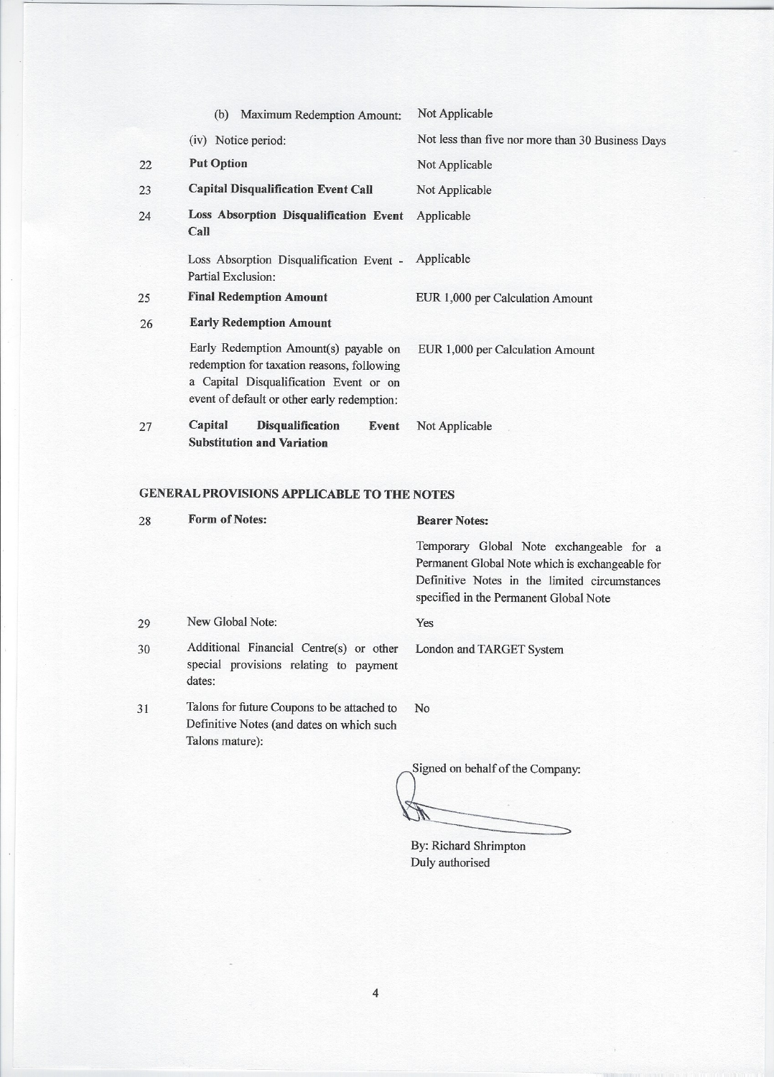|    | <b>Maximum Redemption Amount:</b><br>(b)                                                                                                                                     | Not Applicable                                    |
|----|------------------------------------------------------------------------------------------------------------------------------------------------------------------------------|---------------------------------------------------|
|    | (iv) Notice period:                                                                                                                                                          | Not less than five nor more than 30 Business Days |
| 22 | <b>Put Option</b>                                                                                                                                                            | Not Applicable                                    |
| 23 | <b>Capital Disqualification Event Call</b>                                                                                                                                   | Not Applicable                                    |
| 24 | Loss Absorption Disqualification Event<br>Call                                                                                                                               | Applicable                                        |
|    | Loss Absorption Disqualification Event -<br>Partial Exclusion:                                                                                                               | Applicable                                        |
| 25 | <b>Final Redemption Amount</b>                                                                                                                                               | EUR 1,000 per Calculation Amount                  |
| 26 | <b>Early Redemption Amount</b>                                                                                                                                               |                                                   |
|    | Early Redemption Amount(s) payable on<br>redemption for taxation reasons, following<br>a Capital Disqualification Event or on<br>event of default or other early redemption: | EUR 1,000 per Calculation Amount                  |
| 27 | Capital<br><b>Disqualification</b><br>Event<br>Substitution and Variation                                                                                                    | Not Applicable                                    |

## **GENERAL PROVISIONS APPLICABLE TO THE NOTES**

| 28 | <b>Form of Notes:</b>                                                                                       | <b>Bearer Notes:</b>                                                                                                                                                                   |
|----|-------------------------------------------------------------------------------------------------------------|----------------------------------------------------------------------------------------------------------------------------------------------------------------------------------------|
|    |                                                                                                             | Temporary Global Note exchangeable for a<br>Permanent Global Note which is exchangeable for<br>Definitive Notes in the limited circumstances<br>specified in the Permanent Global Note |
| 29 | New Global Note:                                                                                            | Yes                                                                                                                                                                                    |
| 30 | Additional Financial Centre(s) or other<br>special provisions relating to payment<br>dates:                 | London and TARGET System                                                                                                                                                               |
| 31 | Talons for future Coupons to be attached to<br>Definitive Notes (and dates on which such<br>Talons mature): | N <sub>o</sub>                                                                                                                                                                         |
|    |                                                                                                             | Signed on behalf of the Company:                                                                                                                                                       |

By: Richard Shrimpton Duly authorised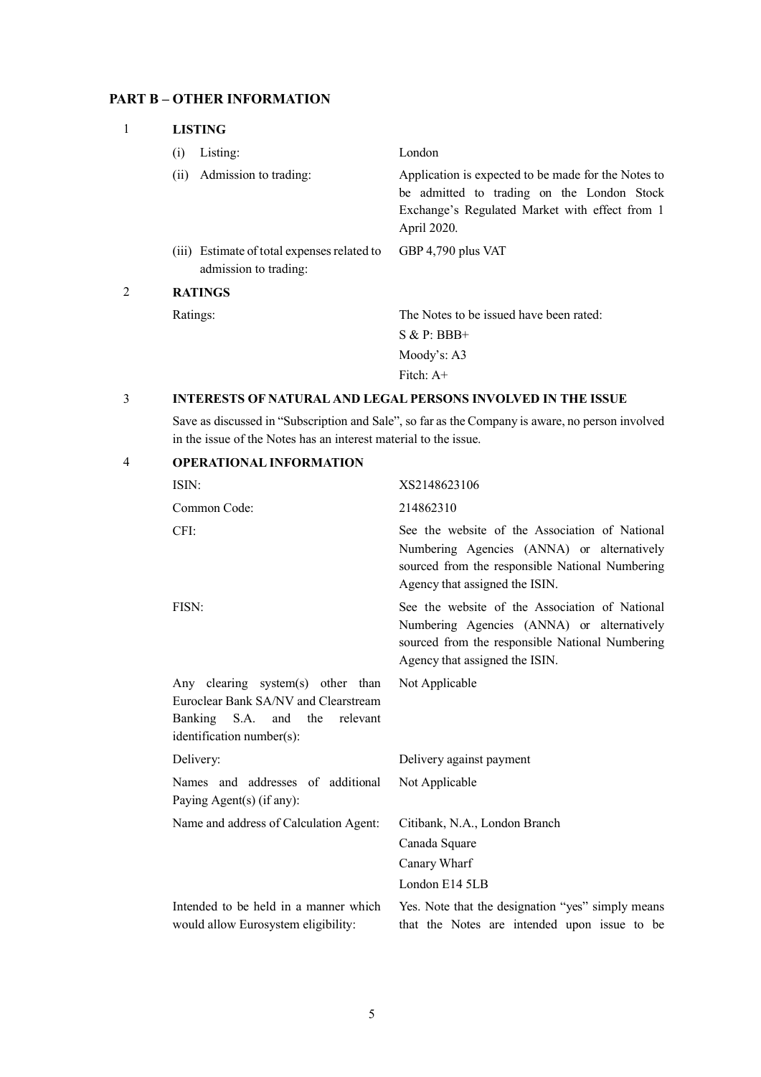## **PART B – OTHER INFORMATION**

| 1              | <b>LISTING</b>                                                       |                                                                                                                                                                    |  |
|----------------|----------------------------------------------------------------------|--------------------------------------------------------------------------------------------------------------------------------------------------------------------|--|
|                | Listing:<br>(i)                                                      | London                                                                                                                                                             |  |
|                | Admission to trading:<br>(i)                                         | Application is expected to be made for the Notes to<br>be admitted to trading on the London Stock<br>Exchange's Regulated Market with effect from 1<br>April 2020. |  |
|                | (iii) Estimate of total expenses related to<br>admission to trading: | GBP 4,790 plus VAT                                                                                                                                                 |  |
| $\overline{2}$ | <b>RATINGS</b>                                                       |                                                                                                                                                                    |  |
|                | Ratings:                                                             | The Notes to be issued have been rated:                                                                                                                            |  |
|                |                                                                      | $S & P: BBB+$                                                                                                                                                      |  |
|                |                                                                      | Moody's: $A3$                                                                                                                                                      |  |
|                |                                                                      | Fitch: $A+$                                                                                                                                                        |  |

## 3 **INTERESTS OF NATURAL AND LEGAL PERSONS INVOLVED IN THE ISSUE**

Save as discussed in "Subscription and Sale", so far as the Company is aware, no person involved in the issue of the Notes has an interest material to the issue.

| $\overline{4}$ | <b>OPERATIONAL INFORMATION</b>                                                                                                                |                                                                                                                                                                                   |
|----------------|-----------------------------------------------------------------------------------------------------------------------------------------------|-----------------------------------------------------------------------------------------------------------------------------------------------------------------------------------|
|                | ISIN:                                                                                                                                         | XS2148623106                                                                                                                                                                      |
|                | Common Code:                                                                                                                                  | 214862310                                                                                                                                                                         |
|                | CFI:                                                                                                                                          | See the website of the Association of National<br>Numbering Agencies (ANNA) or alternatively<br>sourced from the responsible National Numbering<br>Agency that assigned the ISIN. |
|                | FISN:                                                                                                                                         | See the website of the Association of National<br>Numbering Agencies (ANNA) or alternatively<br>sourced from the responsible National Numbering<br>Agency that assigned the ISIN. |
|                | Any clearing system(s) other than<br>Euroclear Bank SA/NV and Clearstream<br>Banking S.A.<br>and the<br>relevant<br>identification number(s): | Not Applicable                                                                                                                                                                    |
|                | Delivery:                                                                                                                                     | Delivery against payment                                                                                                                                                          |
|                | Names and addresses of additional<br>Paying Agent(s) (if any):                                                                                | Not Applicable                                                                                                                                                                    |
|                | Name and address of Calculation Agent:                                                                                                        | Citibank, N.A., London Branch<br>Canada Square<br>Canary Wharf<br>London E14 5LB                                                                                                  |
|                | Intended to be held in a manner which<br>would allow Eurosystem eligibility:                                                                  | Yes. Note that the designation "yes" simply means<br>that the Notes are intended upon issue to be                                                                                 |